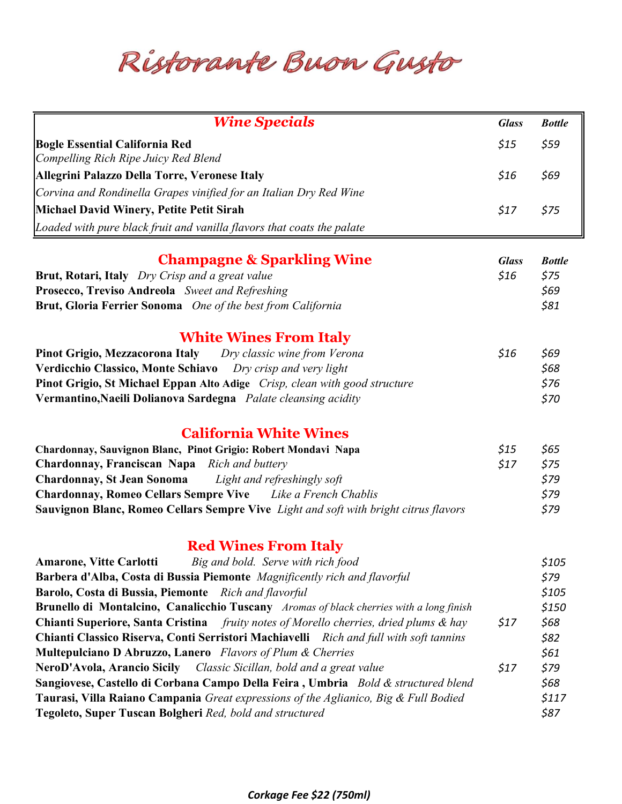Ristorante Buon Gusto

| <b>Wine Specials</b>                                                                                              | <b>Glass</b>         | <b>Bottle</b>         |
|-------------------------------------------------------------------------------------------------------------------|----------------------|-----------------------|
| <b>Bogle Essential California Red</b>                                                                             | \$15                 | \$59                  |
| Compelling Rich Ripe Juicy Red Blend                                                                              |                      |                       |
| Allegrini Palazzo Della Torre, Veronese Italy                                                                     | \$16                 | \$69                  |
| Corvina and Rondinella Grapes vinified for an Italian Dry Red Wine                                                |                      |                       |
| <b>Michael David Winery, Petite Petit Sirah</b>                                                                   | \$17                 | \$75                  |
| Loaded with pure black fruit and vanilla flavors that coats the palate                                            |                      |                       |
|                                                                                                                   |                      |                       |
| <b>Champagne &amp; Sparkling Wine</b><br>Brut, Rotari, Italy Dry Crisp and a great value                          | <b>Glass</b><br>\$16 | <b>Bottle</b><br>\$75 |
| Prosecco, Treviso Andreola Sweet and Refreshing                                                                   |                      | \$69                  |
| Brut, Gloria Ferrier Sonoma One of the best from California                                                       |                      | \$81                  |
|                                                                                                                   |                      |                       |
| <b>White Wines From Italy</b>                                                                                     |                      |                       |
| Dry classic wine from Verona<br>Pinot Grigio, Mezzacorona Italy                                                   | \$16                 | \$69                  |
| Verdicchio Classico, Monte Schiavo<br>Dry crisp and very light                                                    |                      | \$68                  |
| Pinot Grigio, St Michael Eppan Alto Adige Crisp, clean with good structure                                        |                      | \$76                  |
| Vermantino, Naeili Dolianova Sardegna Palate cleansing acidity                                                    |                      | \$70                  |
| <b>California White Wines</b>                                                                                     |                      |                       |
|                                                                                                                   | $$15$                |                       |
| Chardonnay, Sauvignon Blanc, Pinot Grigio: Robert Mondavi Napa<br>Chardonnay, Franciscan Napa<br>Rich and buttery | \$17                 | \$65<br>\$75          |
| <b>Chardonnay, St Jean Sonoma</b><br>Light and refreshingly soft                                                  |                      | \$79                  |
| <b>Chardonnay, Romeo Cellars Sempre Vive</b><br>Like a French Chablis                                             |                      | \$79                  |
| Sauvignon Blanc, Romeo Cellars Sempre Vive Light and soft with bright citrus flavors                              |                      | \$79                  |
|                                                                                                                   |                      |                       |
| <b>Red Wines From Italy</b>                                                                                       |                      |                       |
| Big and bold. Serve with rich food<br><b>Amarone, Vitte Carlotti</b>                                              |                      | \$105                 |
| Barbera d'Alba, Costa di Bussia Piemonte Magnificently rich and flavorful                                         |                      | \$79                  |
| Barolo, Costa di Bussia, Piemonte Rich and flavorful                                                              |                      | \$105                 |
| Brunello di Montalcino, Canalicchio Tuscany Aromas of black cherries with a long finish                           |                      | \$150                 |
| <b>Chianti Superiore, Santa Cristina</b> fruity notes of Morello cherries, dried plums & hay                      | \$17                 | \$68                  |
| Chianti Classico Riserva, Conti Serristori Machiavelli Rich and full with soft tannins                            |                      | \$82                  |
| <b>Multepulciano D Abruzzo, Lanero</b> Flavors of Plum & Cherries                                                 |                      | \$61                  |
| NeroD'Avola, Arancio Sicily Classic Sicillan, bold and a great value<br>\$17                                      |                      |                       |
| Sangiovese, Castello di Corbana Campo Della Feira, Umbria Bold & structured blend                                 |                      | \$68                  |
| Taurasi, Villa Raiano Campania Great expressions of the Aglianico, Big & Full Bodied                              |                      | \$117                 |
| Tegoleto, Super Tuscan Bolgheri Red, bold and structured                                                          |                      | \$87                  |
|                                                                                                                   |                      |                       |

## Corkage Fee \$22 (750ml)